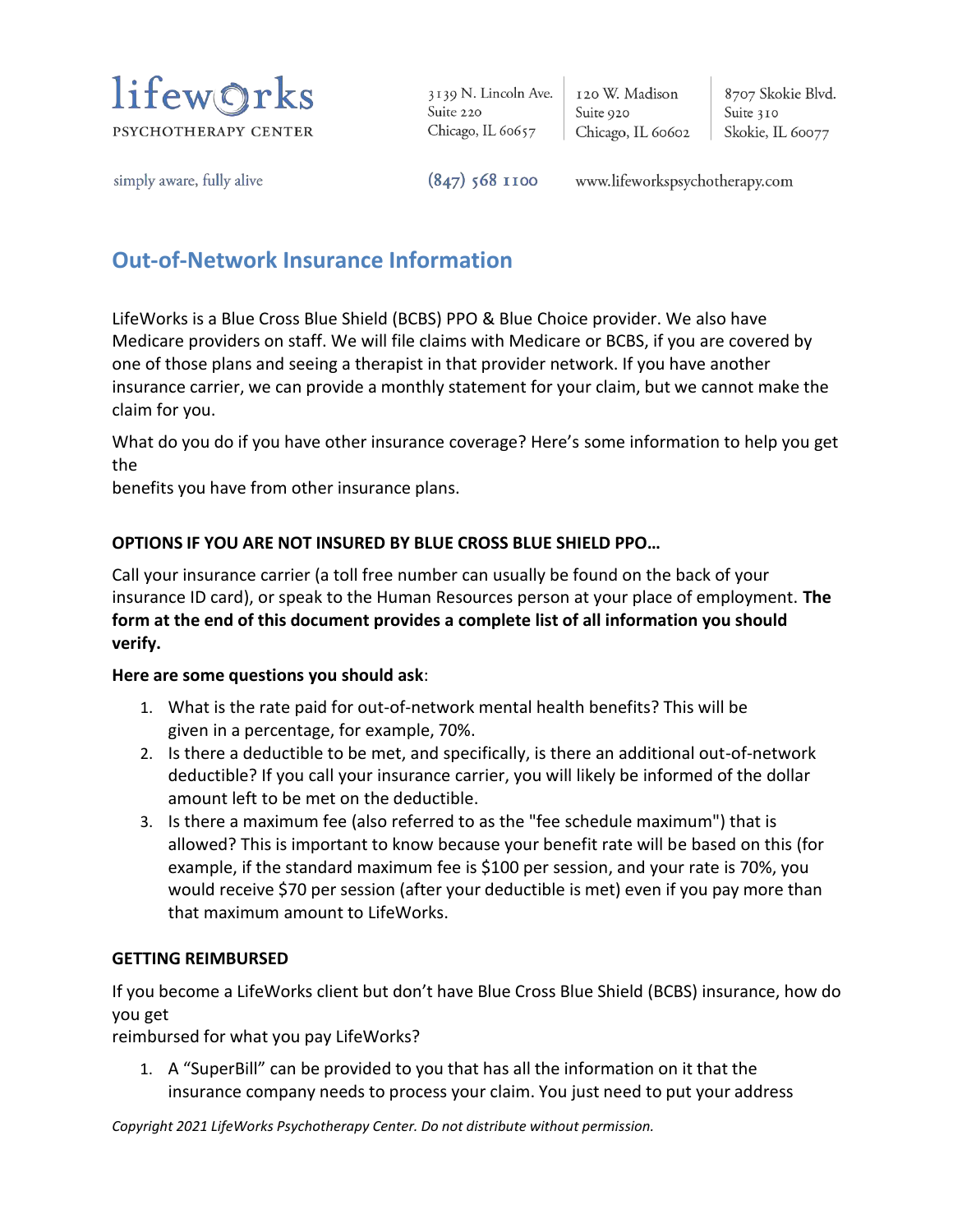

3139 N. Lincoln Ave. Suite 220 Chicago, IL 60657

120 W. Madison Suite 920 Chicago, IL 60602

8707 Skokie Blvd. Suite 310 Skokie, IL 60077

simply aware, fully alive

 $(847)$  568 1100

www.lifeworkspsychotherapy.com

## **Out-of-Network Insurance Information**

LifeWorks is a Blue Cross Blue Shield (BCBS) PPO & Blue Choice provider. We also have Medicare providers on staff. We will file claims with Medicare or BCBS, if you are covered by one of those plans and seeing a therapist in that provider network. If you have another insurance carrier, we can provide a monthly statement for your claim, but we cannot make the claim for you.

What do you do if you have other insurance coverage? Here's some information to help you get the

benefits you have from other insurance plans.

## **OPTIONS IF YOU ARE NOT INSURED BY BLUE CROSS BLUE SHIELD PPO…**

Call your insurance carrier (a toll free number can usually be found on the back of your insurance ID card), or speak to the Human Resources person at your place of employment. **The form at the end of this document provides a complete list of all information you should verify.**

## **Here are some questions you should ask**:

- 1. What is the rate paid for out-of-network mental health benefits? This will be given in a percentage, for example, 70%.
- 2. Is there a deductible to be met, and specifically, is there an additional out-of-network deductible? If you call your insurance carrier, you will likely be informed of the dollar amount left to be met on the deductible.
- 3. Is there a maximum fee (also referred to as the "fee schedule maximum") that is allowed? This is important to know because your benefit rate will be based on this (for example, if the standard maximum fee is \$100 per session, and your rate is 70%, you would receive \$70 per session (after your deductible is met) even if you pay more than that maximum amount to LifeWorks.

## **GETTING REIMBURSED**

If you become a LifeWorks client but don't have Blue Cross Blue Shield (BCBS) insurance, how do you get

reimbursed for what you pay LifeWorks?

1. A "SuperBill" can be provided to you that has all the information on it that the insurance company needs to process your claim. You just need to put your address

*Copyright 2021 LifeWorks Psychotherapy Center. Do not distribute without permission.*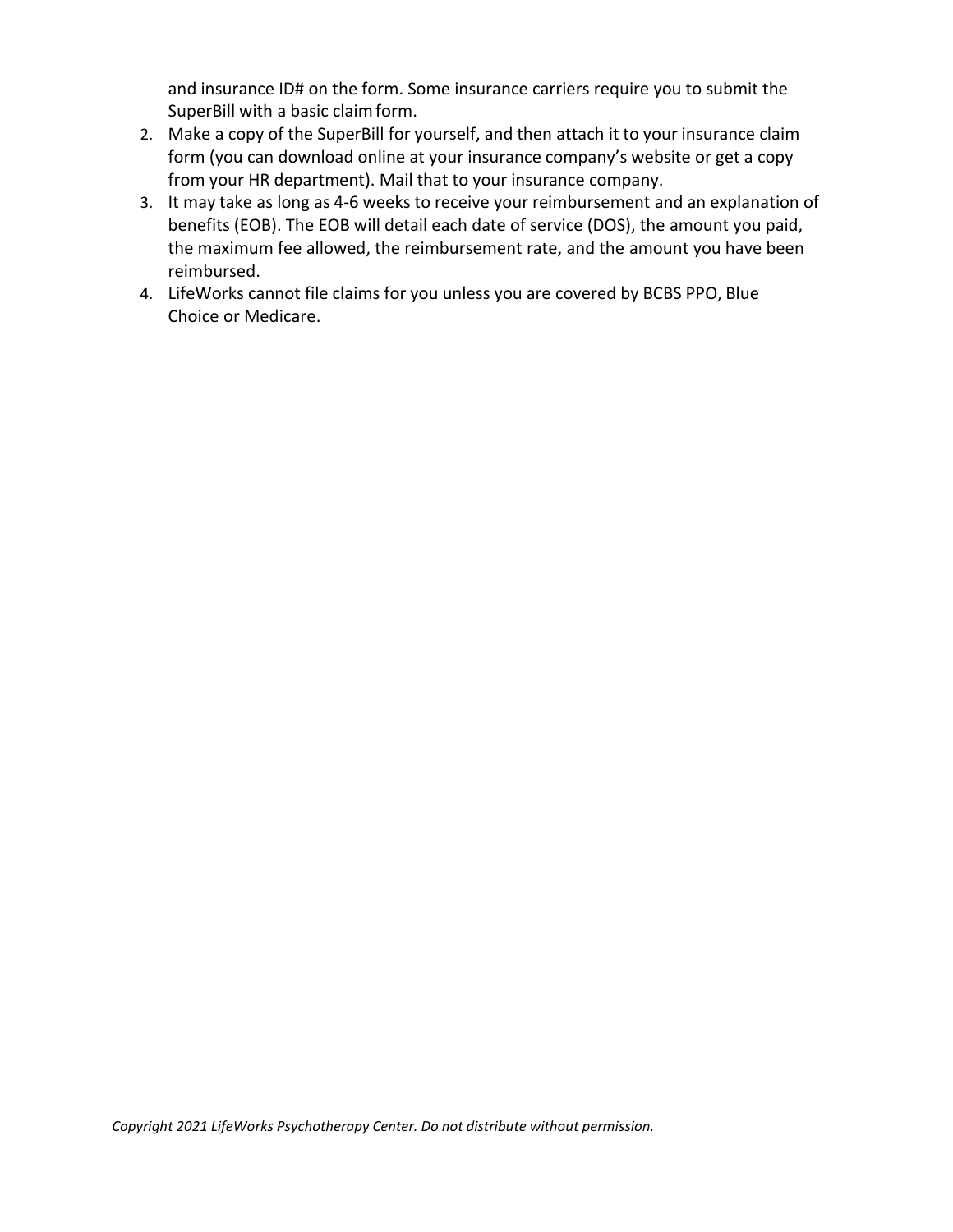and insurance ID# on the form. Some insurance carriers require you to submit the SuperBill with a basic claim form.

- 2. Make a copy of the SuperBill for yourself, and then attach it to your insurance claim form (you can download online at your insurance company's website or get a copy from your HR department). Mail that to your insurance company.
- 3. It may take as long as 4-6 weeks to receive your reimbursement and an explanation of benefits (EOB). The EOB will detail each date of service (DOS), the amount you paid, the maximum fee allowed, the reimbursement rate, and the amount you have been reimbursed.
- 4. LifeWorks cannot file claims for you unless you are covered by BCBS PPO, Blue Choice or Medicare.